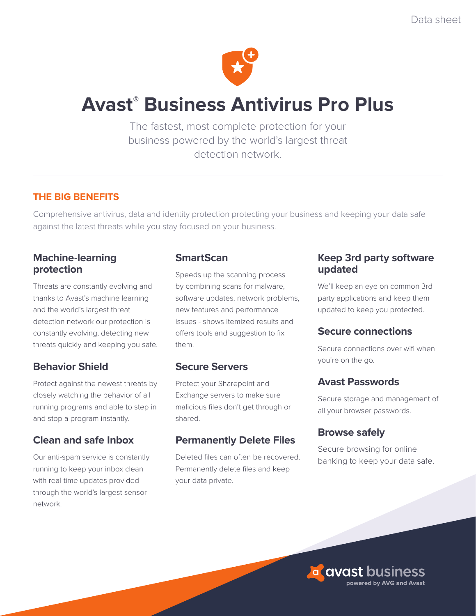

# **Avast® Business Antivirus Pro Plus**

The fastest, most complete protection for your business powered by the world's largest threat detection network.

# **THE BIG BENEFITS**

Comprehensive antivirus, data and identity protection protecting your business and keeping your data safe against the latest threats while you stay focused on your business.

## **Machine-learning protection**

Threats are constantly evolving and thanks to Avast's machine learning and the world's largest threat detection network our protection is constantly evolving, detecting new threats quickly and keeping you safe.

# **Behavior Shield**

Protect against the newest threats by closely watching the behavior of all running programs and able to step in and stop a program instantly.

# **Clean and safe Inbox**

Our anti-spam service is constantly running to keep your inbox clean with real-time updates provided through the world's largest sensor network.

# **SmartScan**

Speeds up the scanning process by combining scans for malware, software updates, network problems, new features and performance issues - shows itemized results and offers tools and suggestion to fix them.

# **Secure Servers**

Protect your Sharepoint and Exchange servers to make sure malicious files don't get through or shared.

# **Permanently Delete Files**

Deleted files can often be recovered. Permanently delete files and keep your data private.

## **Keep 3rd party software updated**

We'll keep an eye on common 3rd party applications and keep them updated to keep you protected.

### **Secure connections**

Secure connections over wifi when you're on the go.

# **Avast Passwords**

Secure storage and management of all your browser passwords.

# **Browse safely**

Secure browsing for online banking to keep your data safe.

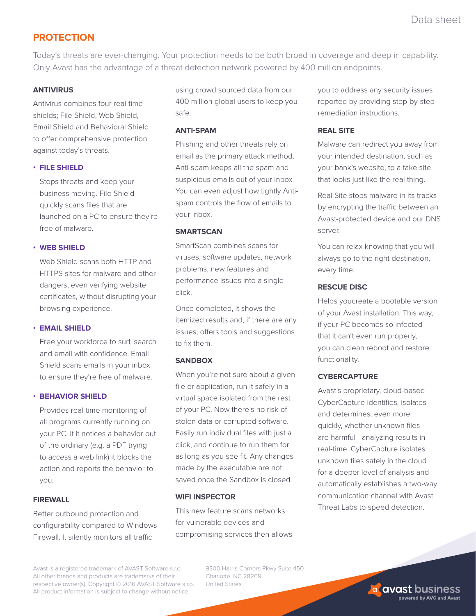### **PROTECTION**

Today's threats are ever-changing. Your protection needs to be both broad in coverage and deep in capability. Only Avast has the advantage of a threat detection network powered by 400 million endpoints.

#### **ANTIVIRUS**

Antivirus combines four real-time shields; File Shield, Web Shield, Email Shield and Behavioral Shield to offer comprehensive protection against today's threats.

#### **• FILE SHIELD**

Stops threats and keep your business moving. File Shield quickly scans files that are launched on a PC to ensure they're free of malware.

#### **• WEB SHIELD**

Web Shield scans both HTTP and HTTPS sites for malware and other dangers, even verifying website certificates, without disrupting your browsing experience.

#### **• EMAIL SHIELD**

Free your workforce to surf, search and email with confidence. Email Shield scans emails in your inbox to ensure they're free of malware.

#### **• BEHAVIOR SHIELD**

Provides real-time monitoring of all programs currently running on your PC. If it notices a behavior out of the ordinary (e.g. a PDF trying to access a web link) it blocks the action and reports the behavior to you.

#### **FIREWALL**

Better outbound protection and configurability compared to Windows Firewall. It silently monitors all traffic

using crowd sourced data from our 400 million global users to keep you safe.

#### **ANTI-SPAM**

Phishing and other threats rely on email as the primary attack method. Anti-spam keeps all the spam and suspicious emails out of your inbox. You can even adjust how tightly Antispam controls the flow of emails to your inbox.

#### **SMARTSCAN**

SmartScan combines scans for viruses, software updates, network problems, new features and performance issues into a single click.

Once completed, it shows the itemized results and, if there are any issues, offers tools and suggestions to fix them.

#### **SANDBOX**

When you're not sure about a given file or application, run it safely in a virtual space isolated from the rest of your PC. Now there's no risk of stolen data or corrupted software. Easily run individual files with just a click, and continue to run them for as long as you see fit. Any changes made by the executable are not saved once the Sandbox is closed.

#### **WIFI INSPECTOR**

This new feature scans networks for vulnerable devices and compromising services then allows you to address any security issues reported by providing step-by-step remediation instructions.

#### **REAL SITE**

Malware can redirect you away from your intended destination, such as your bank's website, to a fake site that looks just like the real thing.

Real Site stops malware in its tracks by encrypting the traffic between an Avast-protected device and our DNS server.

You can relax knowing that you will always go to the right destination, every time.

#### **RESCUE DISC**

Helps youcreate a bootable version of your Avast installation. This way, if your PC becomes so infected that it can't even run properly, you can clean reboot and restore functionality.

#### **CYBERCAPTURE**

Avast's proprietary, cloud-based CyberCapture identifies, isolates and determines, even more quickly, whether unknown files are harmful - analyzing results in real-time. CyberCapture isolates unknown files safely in the cloud for a deeper level of analysis and automatically establishes a two-way communication channel with Avast Threat Labs to speed detection.

Avast is a registered trademark of AVAST Software s.r.o. All other brands and products are trademarks of their respective owner(s). Copyright © 2016 AVAST Software s.r.o. All product information is subject to change without notice.

9300 Harris Corners Pkwy Suite 450 Charlotte, NC 28269 United States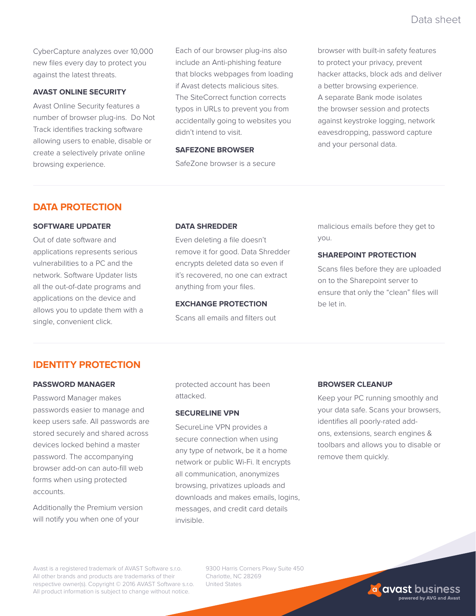CyberCapture analyzes over 10,000 new files every day to protect you against the latest threats.

#### **AVAST ONLINE SECURITY**

Avast Online Security features a number of browser plug-ins. Do Not Track identifies tracking software allowing users to enable, disable or create a selectively private online browsing experience.

Each of our browser plug-ins also include an Anti-phishing feature that blocks webpages from loading if Avast detects malicious sites. The SiteCorrect function corrects typos in URLs to prevent you from accidentally going to websites you didn't intend to visit.

#### **SAFEZONE BROWSER**

SafeZone browser is a secure

browser with built-in safety features to protect your privacy, prevent hacker attacks, block ads and deliver a better browsing experience. A separate Bank mode isolates the browser session and protects against keystroke logging, network eavesdropping, password capture and your personal data.

## **DATA PROTECTION**

# **SOFTWARE UPDATER**

Out of date software and applications represents serious vulnerabilities to a PC and the network. Software Updater lists all the out-of-date programs and applications on the device and allows you to update them with a single, convenient click.

#### **DATA SHREDDER**

Even deleting a file doesn't remove it for good. Data Shredder encrypts deleted data so even if it's recovered, no one can extract anything from your files.

#### **EXCHANGE PROTECTION**

Scans all emails and filters out

malicious emails before they get to you.

#### **SHAREPOINT PROTECTION**

Scans files before they are uploaded on to the Sharepoint server to ensure that only the "clean" files will be let in.

### **IDENTITY PROTECTION**

#### **PASSWORD MANAGER**

Password Manager makes passwords easier to manage and keep users safe. All passwords are stored securely and shared across devices locked behind a master password. The accompanying browser add-on can auto-fill web forms when using protected accounts.

Additionally the Premium version will notify you when one of your

protected account has been attacked.

#### **SECURELINE VPN**

SecureLine VPN provides a secure connection when using any type of network, be it a home network or public Wi-Fi. It encrypts all communication, anonymizes browsing, privatizes uploads and downloads and makes emails, logins, messages, and credit card details invisible.

#### **BROWSER CLEANUP**

Keep your PC running smoothly and your data safe. Scans your browsers, identifies all poorly-rated addons, extensions, search engines & toolbars and allows you to disable or remove them quickly.

Avast is a registered trademark of AVAST Software s.r.o. All other brands and products are trademarks of their respective owner(s). Copyright © 2016 AVAST Software s.r.o. All product information is subject to change without notice.

9300 Harris Corners Pkwy Suite 450 Charlotte, NC 28269 United States